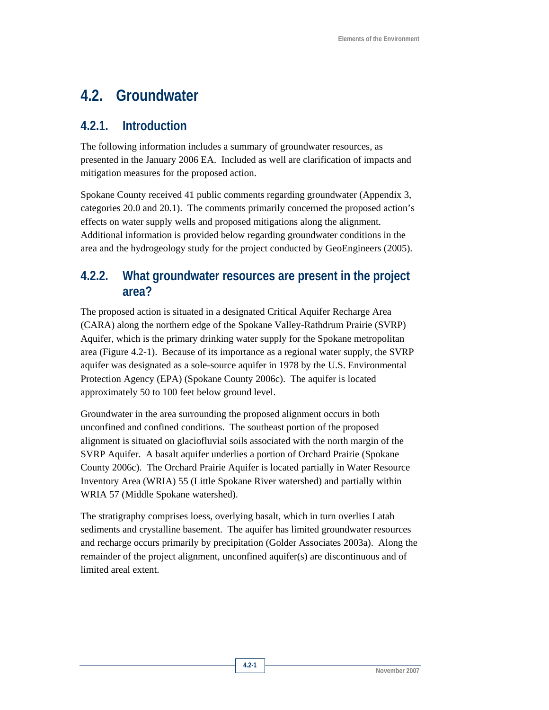# **4.2. Groundwater**

### **4.2.1. Introduction**

The following information includes a summary of groundwater resources, as presented in the January 2006 EA. Included as well are clarification of impacts and mitigation measures for the proposed action.

Spokane County received 41 public comments regarding groundwater (Appendix 3, categories 20.0 and 20.1). The comments primarily concerned the proposed action's effects on water supply wells and proposed mitigations along the alignment. Additional information is provided below regarding groundwater conditions in the area and the hydrogeology study for the project conducted by GeoEngineers (2005).

# **4.2.2. What groundwater resources are present in the project area?**

The proposed action is situated in a designated Critical Aquifer Recharge Area (CARA) along the northern edge of the Spokane Valley-Rathdrum Prairie (SVRP) Aquifer, which is the primary drinking water supply for the Spokane metropolitan area (Figure 4.2-1). Because of its importance as a regional water supply, the SVRP aquifer was designated as a sole-source aquifer in 1978 by the U.S. Environmental Protection Agency (EPA) (Spokane County 2006c). The aquifer is located approximately 50 to 100 feet below ground level.

Groundwater in the area surrounding the proposed alignment occurs in both unconfined and confined conditions. The southeast portion of the proposed alignment is situated on glaciofluvial soils associated with the north margin of the SVRP Aquifer. A basalt aquifer underlies a portion of Orchard Prairie (Spokane County 2006c). The Orchard Prairie Aquifer is located partially in Water Resource Inventory Area (WRIA) 55 (Little Spokane River watershed) and partially within WRIA 57 (Middle Spokane watershed).

The stratigraphy comprises loess, overlying basalt, which in turn overlies Latah sediments and crystalline basement. The aquifer has limited groundwater resources and recharge occurs primarily by precipitation (Golder Associates 2003a). Along the remainder of the project alignment, unconfined aquifer(s) are discontinuous and of limited areal extent.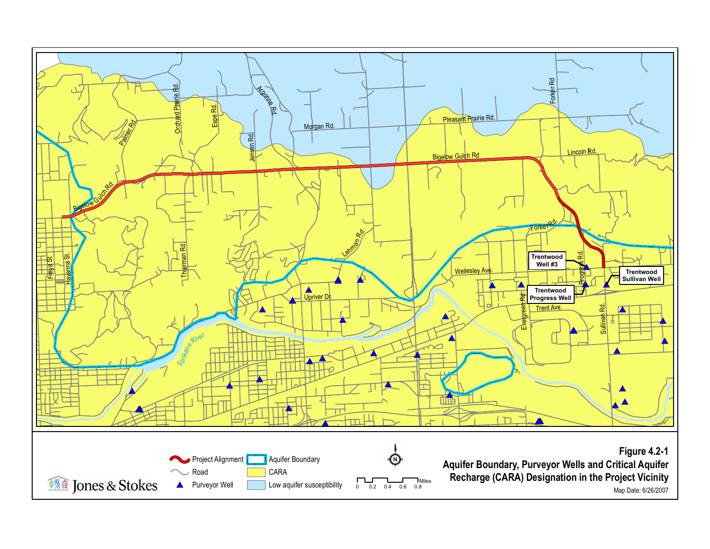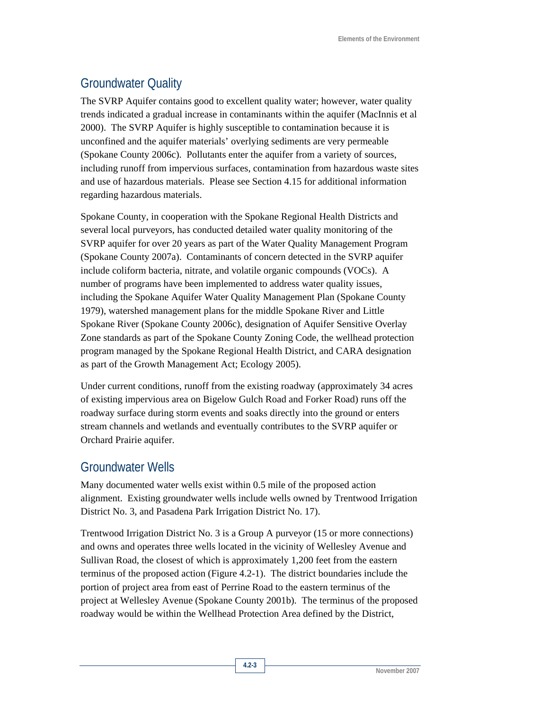# Groundwater Quality

The SVRP Aquifer contains good to excellent quality water; however, water quality trends indicated a gradual increase in contaminants within the aquifer (MacInnis et al 2000). The SVRP Aquifer is highly susceptible to contamination because it is unconfined and the aquifer materials' overlying sediments are very permeable (Spokane County 2006c). Pollutants enter the aquifer from a variety of sources, including runoff from impervious surfaces, contamination from hazardous waste sites and use of hazardous materials. Please see Section 4.15 for additional information regarding hazardous materials.

Spokane County, in cooperation with the Spokane Regional Health Districts and several local purveyors, has conducted detailed water quality monitoring of the SVRP aquifer for over 20 years as part of the Water Quality Management Program (Spokane County 2007a). Contaminants of concern detected in the SVRP aquifer include coliform bacteria, nitrate, and volatile organic compounds (VOCs). A number of programs have been implemented to address water quality issues, including the Spokane Aquifer Water Quality Management Plan (Spokane County 1979), watershed management plans for the middle Spokane River and Little Spokane River (Spokane County 2006c), designation of Aquifer Sensitive Overlay Zone standards as part of the Spokane County Zoning Code, the wellhead protection program managed by the Spokane Regional Health District, and CARA designation as part of the Growth Management Act; Ecology 2005).

Under current conditions, runoff from the existing roadway (approximately 34 acres of existing impervious area on Bigelow Gulch Road and Forker Road) runs off the roadway surface during storm events and soaks directly into the ground or enters stream channels and wetlands and eventually contributes to the SVRP aquifer or Orchard Prairie aquifer.

### Groundwater Wells

Many documented water wells exist within 0.5 mile of the proposed action alignment. Existing groundwater wells include wells owned by Trentwood Irrigation District No. 3, and Pasadena Park Irrigation District No. 17).

Trentwood Irrigation District No. 3 is a Group A purveyor (15 or more connections) and owns and operates three wells located in the vicinity of Wellesley Avenue and Sullivan Road, the closest of which is approximately 1,200 feet from the eastern terminus of the proposed action (Figure 4.2-1). The district boundaries include the portion of project area from east of Perrine Road to the eastern terminus of the project at Wellesley Avenue (Spokane County 2001b). The terminus of the proposed roadway would be within the Wellhead Protection Area defined by the District,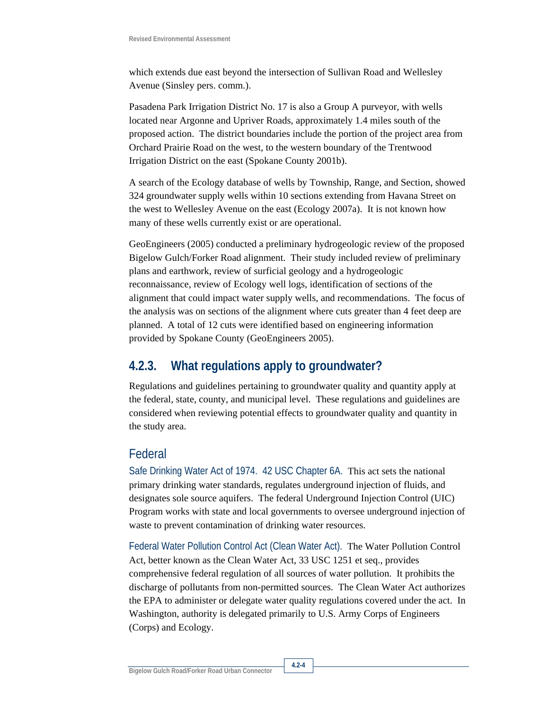which extends due east beyond the intersection of Sullivan Road and Wellesley Avenue (Sinsley pers. comm.).

Pasadena Park Irrigation District No. 17 is also a Group A purveyor, with wells located near Argonne and Upriver Roads, approximately 1.4 miles south of the proposed action. The district boundaries include the portion of the project area from Orchard Prairie Road on the west, to the western boundary of the Trentwood Irrigation District on the east (Spokane County 2001b).

A search of the Ecology database of wells by Township, Range, and Section, showed 324 groundwater supply wells within 10 sections extending from Havana Street on the west to Wellesley Avenue on the east (Ecology 2007a). It is not known how many of these wells currently exist or are operational.

GeoEngineers (2005) conducted a preliminary hydrogeologic review of the proposed Bigelow Gulch/Forker Road alignment. Their study included review of preliminary plans and earthwork, review of surficial geology and a hydrogeologic reconnaissance, review of Ecology well logs, identification of sections of the alignment that could impact water supply wells, and recommendations. The focus of the analysis was on sections of the alignment where cuts greater than 4 feet deep are planned. A total of 12 cuts were identified based on engineering information provided by Spokane County (GeoEngineers 2005).

# **4.2.3. What regulations apply to groundwater?**

Regulations and guidelines pertaining to groundwater quality and quantity apply at the federal, state, county, and municipal level. These regulations and guidelines are considered when reviewing potential effects to groundwater quality and quantity in the study area.

# Federal

Safe Drinking Water Act of 1974. 42 USC Chapter 6A. This act sets the national primary drinking water standards, regulates underground injection of fluids, and designates sole source aquifers. The federal Underground Injection Control (UIC) Program works with state and local governments to oversee underground injection of waste to prevent contamination of drinking water resources.

Federal Water Pollution Control Act (Clean Water Act). The Water Pollution Control Act, better known as the Clean Water Act, 33 USC 1251 et seq., provides comprehensive federal regulation of all sources of water pollution. It prohibits the discharge of pollutants from non-permitted sources. The Clean Water Act authorizes the EPA to administer or delegate water quality regulations covered under the act. In Washington, authority is delegated primarily to U.S. Army Corps of Engineers (Corps) and Ecology.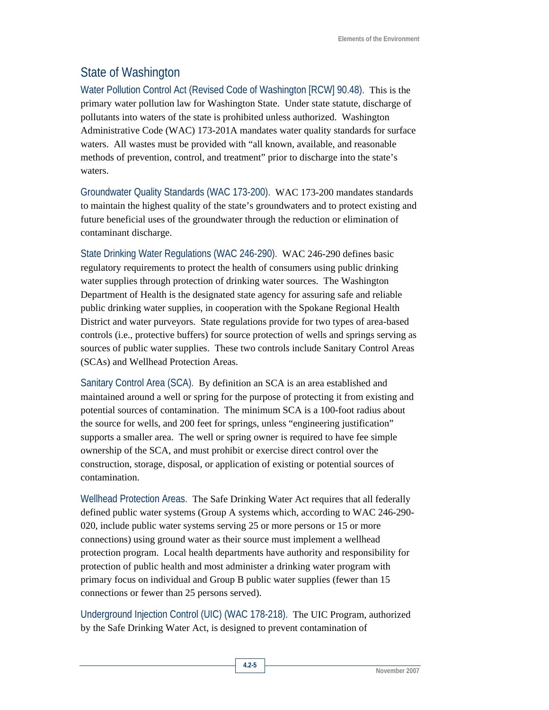### State of Washington

Water Pollution Control Act (Revised Code of Washington [RCW] 90.48). This is the primary water pollution law for Washington State. Under state statute, discharge of pollutants into waters of the state is prohibited unless authorized. Washington Administrative Code (WAC) 173-201A mandates water quality standards for surface waters. All wastes must be provided with "all known, available, and reasonable methods of prevention, control, and treatment" prior to discharge into the state's waters.

Groundwater Quality Standards (WAC 173-200). WAC 173-200 mandates standards to maintain the highest quality of the state's groundwaters and to protect existing and future beneficial uses of the groundwater through the reduction or elimination of contaminant discharge.

State Drinking Water Regulations (WAC 246-290). WAC 246-290 defines basic regulatory requirements to protect the health of consumers using public drinking water supplies through protection of drinking water sources. The Washington Department of Health is the designated state agency for assuring safe and reliable public drinking water supplies, in cooperation with the Spokane Regional Health District and water purveyors. State regulations provide for two types of area-based controls (i.e., protective buffers) for source protection of wells and springs serving as sources of public water supplies. These two controls include Sanitary Control Areas (SCAs) and Wellhead Protection Areas.

Sanitary Control Area (SCA). By definition an SCA is an area established and maintained around a well or spring for the purpose of protecting it from existing and potential sources of contamination. The minimum SCA is a 100-foot radius about the source for wells, and 200 feet for springs, unless "engineering justification" supports a smaller area. The well or spring owner is required to have fee simple ownership of the SCA, and must prohibit or exercise direct control over the construction, storage, disposal, or application of existing or potential sources of contamination.

Wellhead Protection Areas. The Safe Drinking Water Act requires that all federally defined public water systems (Group A systems which, according to WAC 246-290- 020, include public water systems serving 25 or more persons or 15 or more connections) using ground water as their source must implement a wellhead protection program. Local health departments have authority and responsibility for protection of public health and most administer a drinking water program with primary focus on individual and Group B public water supplies (fewer than 15 connections or fewer than 25 persons served).

Underground Injection Control (UIC) (WAC 178-218). The UIC Program, authorized by the Safe Drinking Water Act, is designed to prevent contamination of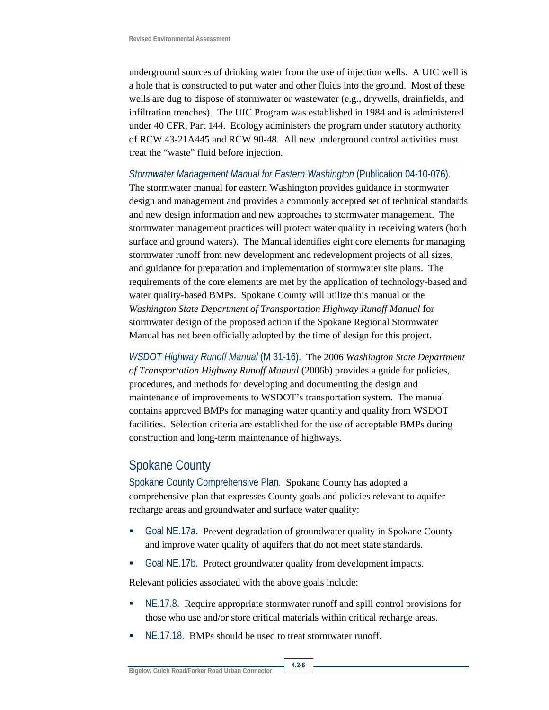underground sources of drinking water from the use of injection wells. A UIC well is a hole that is constructed to put water and other fluids into the ground. Most of these wells are dug to dispose of stormwater or wastewater (e.g., drywells, drainfields, and infiltration trenches). The UIC Program was established in 1984 and is administered under 40 CFR, Part 144. Ecology administers the program under statutory authority of RCW 43-21A445 and RCW 90-48. All new underground control activities must treat the "waste" fluid before injection.

#### *Stormwater Management Manual for Eastern Washington* (Publication 04-10-076).

The stormwater manual for eastern Washington provides guidance in stormwater design and management and provides a commonly accepted set of technical standards and new design information and new approaches to stormwater management. The stormwater management practices will protect water quality in receiving waters (both surface and ground waters). The Manual identifies eight core elements for managing stormwater runoff from new development and redevelopment projects of all sizes, and guidance for preparation and implementation of stormwater site plans. The requirements of the core elements are met by the application of technology-based and water quality-based BMPs. Spokane County will utilize this manual or the *Washington State Department of Transportation Highway Runoff Manual* for stormwater design of the proposed action if the Spokane Regional Stormwater Manual has not been officially adopted by the time of design for this project.

*WSDOT Highway Runoff Manual* (M 31-16). The 2006 *Washington State Department of Transportation Highway Runoff Manual* (2006b) provides a guide for policies, procedures, and methods for developing and documenting the design and maintenance of improvements to WSDOT's transportation system. The manual contains approved BMPs for managing water quantity and quality from WSDOT facilities. Selection criteria are established for the use of acceptable BMPs during construction and long-term maintenance of highways.

### Spokane County

Spokane County Comprehensive Plan. Spokane County has adopted a comprehensive plan that expresses County goals and policies relevant to aquifer recharge areas and groundwater and surface water quality:

- Goal NE.17a. Prevent degradation of groundwater quality in Spokane County and improve water quality of aquifers that do not meet state standards.
- Goal NE.17b. Protect groundwater quality from development impacts.

Relevant policies associated with the above goals include:

- NE.17.8.Require appropriate stormwater runoff and spill control provisions for those who use and/or store critical materials within critical recharge areas.
- NE.17.18.BMPs should be used to treat stormwater runoff.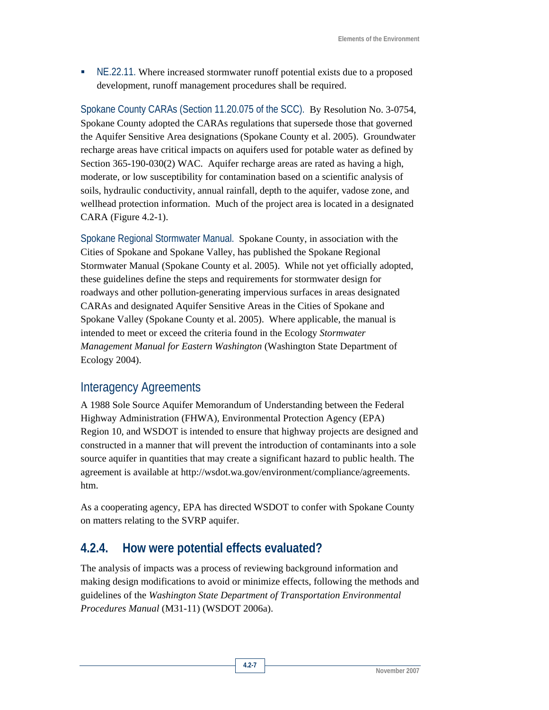NE.22.11. Where increased stormwater runoff potential exists due to a proposed development, runoff management procedures shall be required.

Spokane County CARAs (Section 11.20.075 of the SCC). By Resolution No. 3-0754, Spokane County adopted the CARAs regulations that supersede those that governed the Aquifer Sensitive Area designations (Spokane County et al. 2005). Groundwater recharge areas have critical impacts on aquifers used for potable water as defined by Section 365-190-030(2) WAC. Aquifer recharge areas are rated as having a high, moderate, or low susceptibility for contamination based on a scientific analysis of soils, hydraulic conductivity, annual rainfall, depth to the aquifer, vadose zone, and wellhead protection information. Much of the project area is located in a designated CARA (Figure 4.2-1).

Spokane Regional Stormwater Manual. Spokane County, in association with the Cities of Spokane and Spokane Valley, has published the Spokane Regional Stormwater Manual (Spokane County et al. 2005). While not yet officially adopted, these guidelines define the steps and requirements for stormwater design for roadways and other pollution-generating impervious surfaces in areas designated CARAs and designated Aquifer Sensitive Areas in the Cities of Spokane and Spokane Valley (Spokane County et al. 2005). Where applicable, the manual is intended to meet or exceed the criteria found in the Ecology *Stormwater Management Manual for Eastern Washington* (Washington State Department of Ecology 2004).

# Interagency Agreements

A 1988 Sole Source Aquifer Memorandum of Understanding between the Federal Highway Administration (FHWA), Environmental Protection Agency (EPA) Region 10, and WSDOT is intended to ensure that highway projects are designed and constructed in a manner that will prevent the introduction of contaminants into a sole source aquifer in quantities that may create a significant hazard to public health. The agreement is available at http://wsdot.wa.gov/environment/compliance/agreements. htm.

As a cooperating agency, EPA has directed WSDOT to confer with Spokane County on matters relating to the SVRP aquifer.

# **4.2.4. How were potential effects evaluated?**

The analysis of impacts was a process of reviewing background information and making design modifications to avoid or minimize effects, following the methods and guidelines of the *Washington State Department of Transportation Environmental Procedures Manual* (M31-11) (WSDOT 2006a).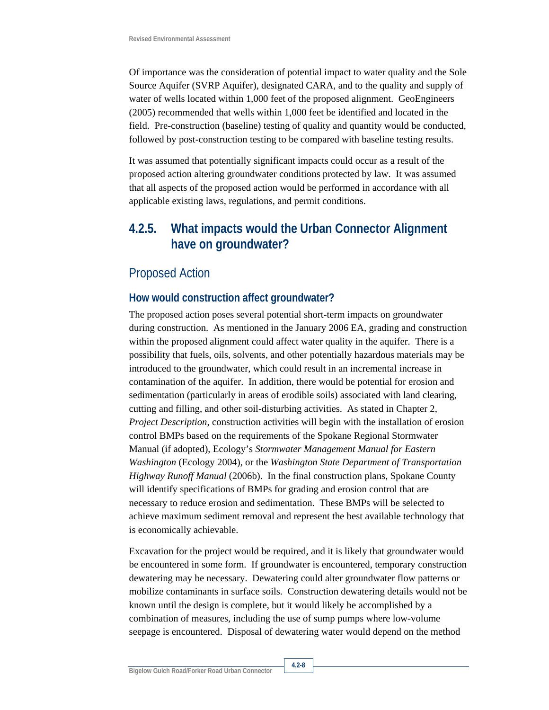Of importance was the consideration of potential impact to water quality and the Sole Source Aquifer (SVRP Aquifer), designated CARA, and to the quality and supply of water of wells located within 1,000 feet of the proposed alignment. GeoEngineers (2005) recommended that wells within 1,000 feet be identified and located in the field. Pre-construction (baseline) testing of quality and quantity would be conducted, followed by post-construction testing to be compared with baseline testing results.

It was assumed that potentially significant impacts could occur as a result of the proposed action altering groundwater conditions protected by law. It was assumed that all aspects of the proposed action would be performed in accordance with all applicable existing laws, regulations, and permit conditions.

# **4.2.5. What impacts would the Urban Connector Alignment have on groundwater?**

### Proposed Action

### **How would construction affect groundwater?**

The proposed action poses several potential short-term impacts on groundwater during construction. As mentioned in the January 2006 EA, grading and construction within the proposed alignment could affect water quality in the aquifer. There is a possibility that fuels, oils, solvents, and other potentially hazardous materials may be introduced to the groundwater, which could result in an incremental increase in contamination of the aquifer. In addition, there would be potential for erosion and sedimentation (particularly in areas of erodible soils) associated with land clearing, cutting and filling, and other soil-disturbing activities. As stated in Chapter 2, *Project Description*, construction activities will begin with the installation of erosion control BMPs based on the requirements of the Spokane Regional Stormwater Manual (if adopted), Ecology's *Stormwater Management Manual for Eastern Washington* (Ecology 2004), or the *Washington State Department of Transportation Highway Runoff Manual* (2006b). In the final construction plans, Spokane County will identify specifications of BMPs for grading and erosion control that are necessary to reduce erosion and sedimentation. These BMPs will be selected to achieve maximum sediment removal and represent the best available technology that is economically achievable.

Excavation for the project would be required, and it is likely that groundwater would be encountered in some form. If groundwater is encountered, temporary construction dewatering may be necessary. Dewatering could alter groundwater flow patterns or mobilize contaminants in surface soils. Construction dewatering details would not be known until the design is complete, but it would likely be accomplished by a combination of measures, including the use of sump pumps where low-volume seepage is encountered. Disposal of dewatering water would depend on the method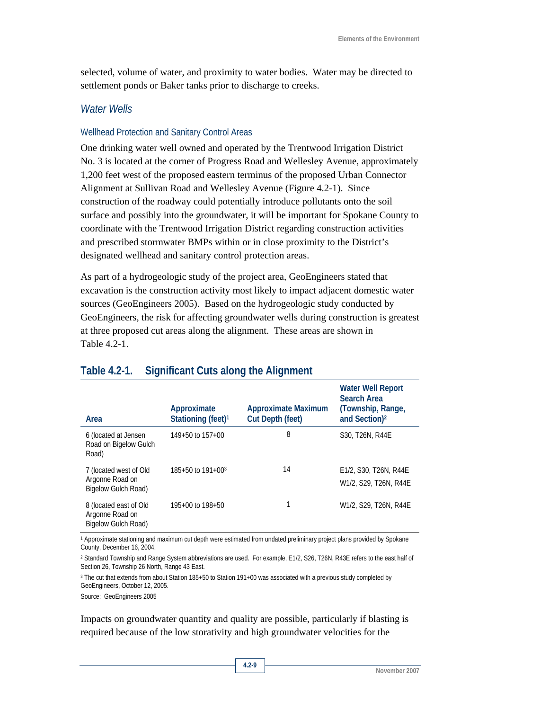selected, volume of water, and proximity to water bodies. Water may be directed to settlement ponds or Baker tanks prior to discharge to creeks.

### *Water Wells*

#### Wellhead Protection and Sanitary Control Areas

One drinking water well owned and operated by the Trentwood Irrigation District No. 3 is located at the corner of Progress Road and Wellesley Avenue, approximately 1,200 feet west of the proposed eastern terminus of the proposed Urban Connector Alignment at Sullivan Road and Wellesley Avenue (Figure 4.2-1). Since construction of the roadway could potentially introduce pollutants onto the soil surface and possibly into the groundwater, it will be important for Spokane County to coordinate with the Trentwood Irrigation District regarding construction activities and prescribed stormwater BMPs within or in close proximity to the District's designated wellhead and sanitary control protection areas.

As part of a hydrogeologic study of the project area, GeoEngineers stated that excavation is the construction activity most likely to impact adjacent domestic water sources (GeoEngineers 2005). Based on the hydrogeologic study conducted by GeoEngineers, the risk for affecting groundwater wells during construction is greatest at three proposed cut areas along the alignment. These areas are shown in Table 4.2-1.

| Area                                                             | Approximate<br>Stationing (feet) <sup>1</sup> | <b>Approximate Maximum</b><br><b>Cut Depth (feet)</b> | <b>Water Well Report</b><br><b>Search Area</b><br>(Township, Range,<br>and Section) <sup>2</sup> |
|------------------------------------------------------------------|-----------------------------------------------|-------------------------------------------------------|--------------------------------------------------------------------------------------------------|
| 6 (located at Jensen<br>Road on Bigelow Gulch<br>Road)           | $149+50$ to $157+00$                          | 8                                                     | S30, T26N, R44E                                                                                  |
| 7 (located west of Old<br>Argonne Road on<br>Bigelow Gulch Road) | $185+50$ to $191+00^3$                        | 14                                                    | E1/2, S30, T26N, R44E<br>W1/2, S29, T26N, R44E                                                   |
| 8 (located east of Old<br>Argonne Road on<br>Bigelow Gulch Road) | 195+00 to 198+50                              |                                                       | W1/2, S29, T26N, R44E                                                                            |

### **Table 4.2-1. Significant Cuts along the Alignment**

1 Approximate stationing and maximum cut depth were estimated from undated preliminary project plans provided by Spokane County, December 16, 2004.

2 Standard Township and Range System abbreviations are used. For example, E1/2, S26, T26N, R43E refers to the east half of Section 26, Township 26 North, Range 43 East.

3 The cut that extends from about Station 185+50 to Station 191+00 was associated with a previous study completed by GeoEngineers, October 12, 2005.

Source: GeoEngineers 2005

Impacts on groundwater quantity and quality are possible, particularly if blasting is required because of the low storativity and high groundwater velocities for the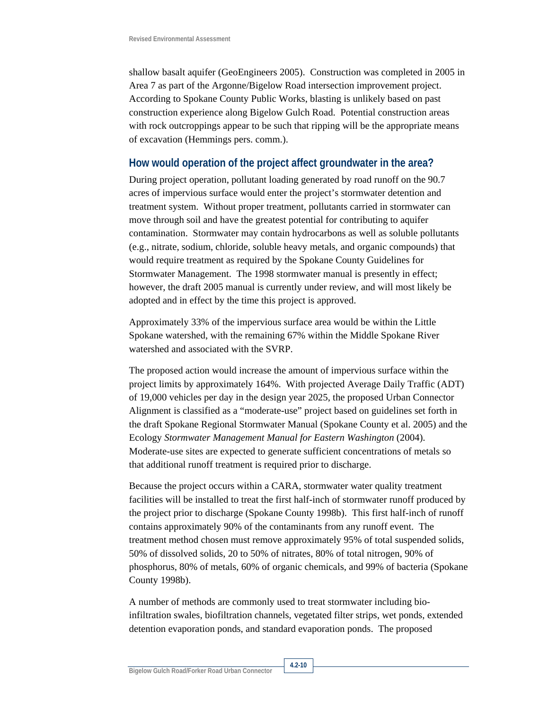shallow basalt aquifer (GeoEngineers 2005). Construction was completed in 2005 in Area 7 as part of the Argonne/Bigelow Road intersection improvement project. According to Spokane County Public Works, blasting is unlikely based on past construction experience along Bigelow Gulch Road. Potential construction areas with rock outcroppings appear to be such that ripping will be the appropriate means of excavation (Hemmings pers. comm.).

#### **How would operation of the project affect groundwater in the area?**

During project operation, pollutant loading generated by road runoff on the 90.7 acres of impervious surface would enter the project's stormwater detention and treatment system. Without proper treatment, pollutants carried in stormwater can move through soil and have the greatest potential for contributing to aquifer contamination. Stormwater may contain hydrocarbons as well as soluble pollutants (e.g., nitrate, sodium, chloride, soluble heavy metals, and organic compounds) that would require treatment as required by the Spokane County Guidelines for Stormwater Management. The 1998 stormwater manual is presently in effect; however, the draft 2005 manual is currently under review, and will most likely be adopted and in effect by the time this project is approved.

Approximately 33% of the impervious surface area would be within the Little Spokane watershed, with the remaining 67% within the Middle Spokane River watershed and associated with the SVRP.

The proposed action would increase the amount of impervious surface within the project limits by approximately 164%. With projected Average Daily Traffic (ADT) of 19,000 vehicles per day in the design year 2025, the proposed Urban Connector Alignment is classified as a "moderate-use" project based on guidelines set forth in the draft Spokane Regional Stormwater Manual (Spokane County et al. 2005) and the Ecology *Stormwater Management Manual for Eastern Washington* (2004). Moderate-use sites are expected to generate sufficient concentrations of metals so that additional runoff treatment is required prior to discharge.

Because the project occurs within a CARA, stormwater water quality treatment facilities will be installed to treat the first half-inch of stormwater runoff produced by the project prior to discharge (Spokane County 1998b). This first half-inch of runoff contains approximately 90% of the contaminants from any runoff event. The treatment method chosen must remove approximately 95% of total suspended solids, 50% of dissolved solids, 20 to 50% of nitrates, 80% of total nitrogen, 90% of phosphorus, 80% of metals, 60% of organic chemicals, and 99% of bacteria (Spokane County 1998b).

A number of methods are commonly used to treat stormwater including bioinfiltration swales, biofiltration channels, vegetated filter strips, wet ponds, extended detention evaporation ponds, and standard evaporation ponds. The proposed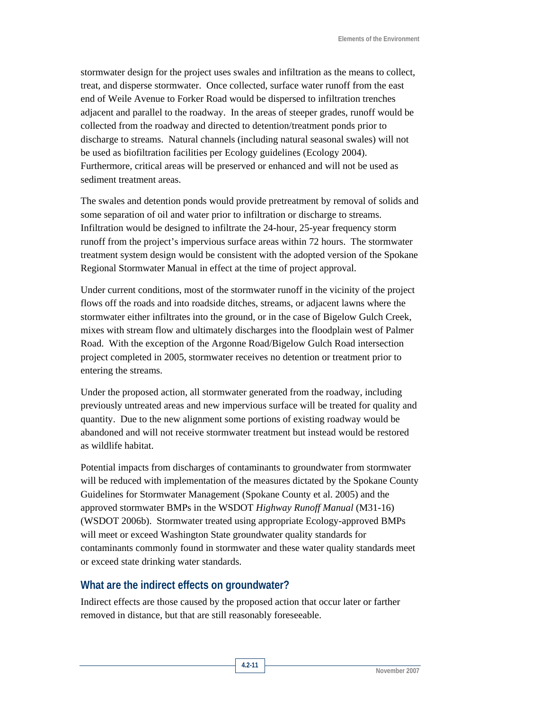stormwater design for the project uses swales and infiltration as the means to collect, treat, and disperse stormwater. Once collected, surface water runoff from the east end of Weile Avenue to Forker Road would be dispersed to infiltration trenches adjacent and parallel to the roadway. In the areas of steeper grades, runoff would be collected from the roadway and directed to detention/treatment ponds prior to discharge to streams. Natural channels (including natural seasonal swales) will not be used as biofiltration facilities per Ecology guidelines (Ecology 2004). Furthermore, critical areas will be preserved or enhanced and will not be used as sediment treatment areas.

The swales and detention ponds would provide pretreatment by removal of solids and some separation of oil and water prior to infiltration or discharge to streams. Infiltration would be designed to infiltrate the 24-hour, 25-year frequency storm runoff from the project's impervious surface areas within 72 hours. The stormwater treatment system design would be consistent with the adopted version of the Spokane Regional Stormwater Manual in effect at the time of project approval.

Under current conditions, most of the stormwater runoff in the vicinity of the project flows off the roads and into roadside ditches, streams, or adjacent lawns where the stormwater either infiltrates into the ground, or in the case of Bigelow Gulch Creek, mixes with stream flow and ultimately discharges into the floodplain west of Palmer Road. With the exception of the Argonne Road/Bigelow Gulch Road intersection project completed in 2005, stormwater receives no detention or treatment prior to entering the streams.

Under the proposed action, all stormwater generated from the roadway, including previously untreated areas and new impervious surface will be treated for quality and quantity. Due to the new alignment some portions of existing roadway would be abandoned and will not receive stormwater treatment but instead would be restored as wildlife habitat.

Potential impacts from discharges of contaminants to groundwater from stormwater will be reduced with implementation of the measures dictated by the Spokane County Guidelines for Stormwater Management (Spokane County et al. 2005) and the approved stormwater BMPs in the WSDOT *Highway Runoff Manual* (M31-16) (WSDOT 2006b). Stormwater treated using appropriate Ecology-approved BMPs will meet or exceed Washington State groundwater quality standards for contaminants commonly found in stormwater and these water quality standards meet or exceed state drinking water standards.

### **What are the indirect effects on groundwater?**

Indirect effects are those caused by the proposed action that occur later or farther removed in distance, but that are still reasonably foreseeable.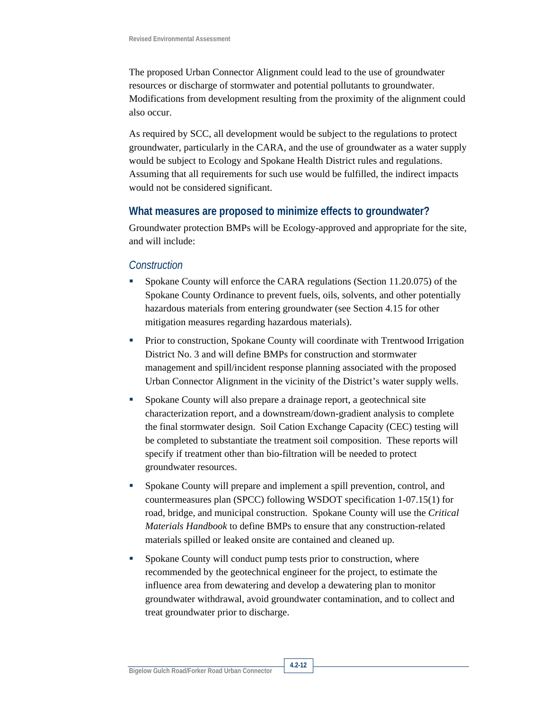The proposed Urban Connector Alignment could lead to the use of groundwater resources or discharge of stormwater and potential pollutants to groundwater. Modifications from development resulting from the proximity of the alignment could also occur.

As required by SCC, all development would be subject to the regulations to protect groundwater, particularly in the CARA, and the use of groundwater as a water supply would be subject to Ecology and Spokane Health District rules and regulations. Assuming that all requirements for such use would be fulfilled, the indirect impacts would not be considered significant.

#### **What measures are proposed to minimize effects to groundwater?**

Groundwater protection BMPs will be Ecology-approved and appropriate for the site, and will include:

#### *Construction*

- Spokane County will enforce the CARA regulations (Section 11.20.075) of the Spokane County Ordinance to prevent fuels, oils, solvents, and other potentially hazardous materials from entering groundwater (see Section 4.15 for other mitigation measures regarding hazardous materials).
- Prior to construction, Spokane County will coordinate with Trentwood Irrigation District No. 3 and will define BMPs for construction and stormwater management and spill/incident response planning associated with the proposed Urban Connector Alignment in the vicinity of the District's water supply wells.
- Spokane County will also prepare a drainage report, a geotechnical site characterization report, and a downstream/down-gradient analysis to complete the final stormwater design. Soil Cation Exchange Capacity (CEC) testing will be completed to substantiate the treatment soil composition. These reports will specify if treatment other than bio-filtration will be needed to protect groundwater resources.
- Spokane County will prepare and implement a spill prevention, control, and countermeasures plan (SPCC) following WSDOT specification 1-07.15(1) for road, bridge, and municipal construction. Spokane County will use the *Critical Materials Handbook* to define BMPs to ensure that any construction-related materials spilled or leaked onsite are contained and cleaned up.
- Spokane County will conduct pump tests prior to construction, where recommended by the geotechnical engineer for the project, to estimate the influence area from dewatering and develop a dewatering plan to monitor groundwater withdrawal, avoid groundwater contamination, and to collect and treat groundwater prior to discharge.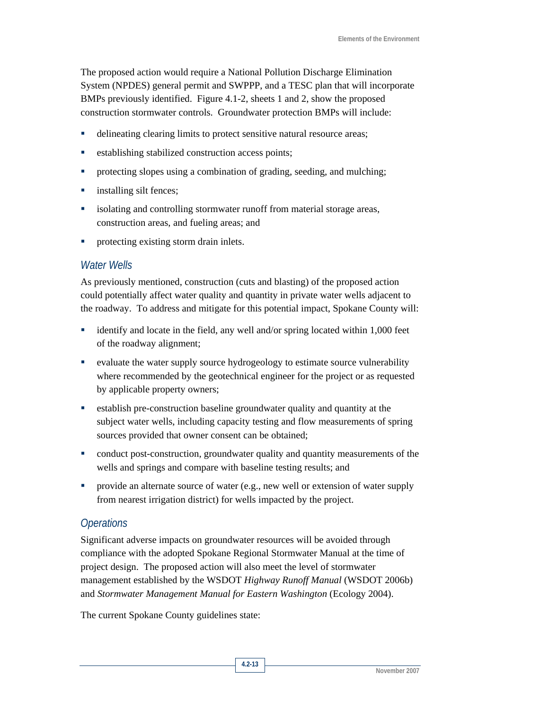The proposed action would require a National Pollution Discharge Elimination System (NPDES) general permit and SWPPP, and a TESC plan that will incorporate BMPs previously identified. Figure 4.1-2, sheets 1 and 2, show the proposed construction stormwater controls. Groundwater protection BMPs will include:

- delineating clearing limits to protect sensitive natural resource areas;
- establishing stabilized construction access points;
- protecting slopes using a combination of grading, seeding, and mulching;
- **i** installing silt fences;
- isolating and controlling stormwater runoff from material storage areas, construction areas, and fueling areas; and
- **•** protecting existing storm drain inlets.

### *Water Wells*

As previously mentioned, construction (cuts and blasting) of the proposed action could potentially affect water quality and quantity in private water wells adjacent to the roadway. To address and mitigate for this potential impact, Spokane County will:

- identify and locate in the field, any well and/or spring located within 1,000 feet of the roadway alignment;
- evaluate the water supply source hydrogeology to estimate source vulnerability where recommended by the geotechnical engineer for the project or as requested by applicable property owners;
- establish pre-construction baseline groundwater quality and quantity at the subject water wells, including capacity testing and flow measurements of spring sources provided that owner consent can be obtained;
- conduct post-construction, groundwater quality and quantity measurements of the wells and springs and compare with baseline testing results; and
- provide an alternate source of water (e.g., new well or extension of water supply from nearest irrigation district) for wells impacted by the project.

### *Operations*

Significant adverse impacts on groundwater resources will be avoided through compliance with the adopted Spokane Regional Stormwater Manual at the time of project design. The proposed action will also meet the level of stormwater management established by the WSDOT *Highway Runoff Manual* (WSDOT 2006b) and *Stormwater Management Manual for Eastern Washington* (Ecology 2004).

The current Spokane County guidelines state: